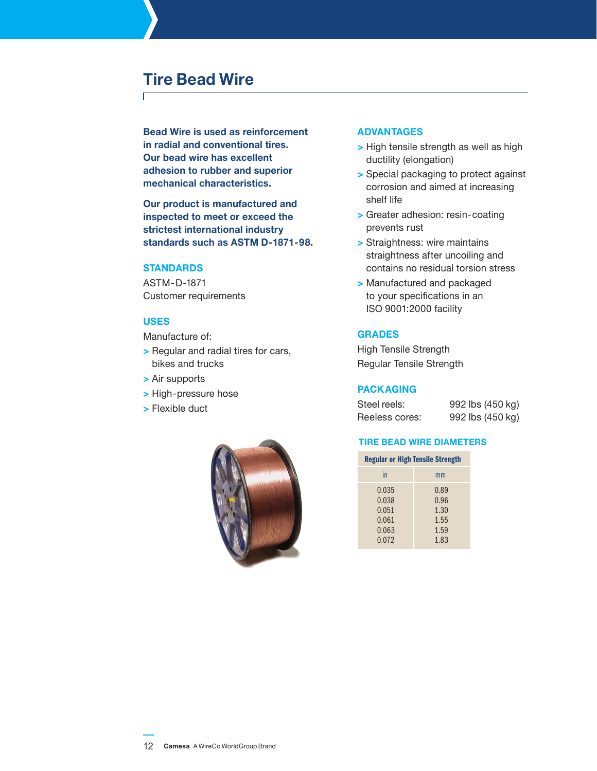# **Tire Bead Wire**

**Bead Wire is used as reinforcement in radial and conventional tires. Our bead wire has excellent adhesion to rubber and superior mechanical characteristics.**

**Our product is manufactured and inspected to meet or exceed the strictest international industry standards such as ASTM D-1871-98.** 

### **Standards**

ASTM-D-1871 Customer requirements

# **Uses**

Manufacture of:

- **>** Regular and radial tires for cars, bikes and trucks
- **>** Air supports
- **>** High-pressure hose
- **>** Flexible duct



#### **Advantages**

- **>** High tensile strength as well as high ductility (elongation)
- **>** Special packaging to protect against corrosion and aimed at increasing shelf life
- **>** Greater adhesion: resin-coating prevents rust
- **>** Straightness: wire maintains straightness after uncoiling and contains no residual torsion stress
- **>** Manufactured and packaged to your specifications in an ISO 9001:2000 facility

#### **Grades**

High Tensile Strength Regular Tensile Strength

# **Packaging**

| Steel reels:   | 992 lbs (450 kg) |
|----------------|------------------|
| Reeless cores: | 992 lbs (450 kg) |

#### **tire bead wire diameters**

|    | <b>Regular or High Tensile Strength</b> |
|----|-----------------------------------------|
| in | mm                                      |
|    |                                         |

| .     |      |
|-------|------|
| 0.035 | 0.89 |
| 0.038 | 0.96 |
| 0.051 | 1.30 |
| 0.061 | 1.55 |
| 0.063 | 1.59 |
| 0.072 | 1.83 |
|       |      |